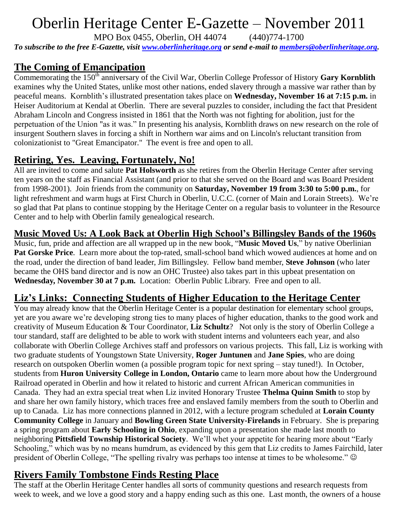# Oberlin Heritage Center E-Gazette – November 2011

MPO Box 0455, Oberlin, OH 44074 (440)774-1700 *To subscribe to the free E-Gazette, visit [www.oberlinheritage.org](http://www.oberlinheritage.org/) or send e-mail to [members@oberlinheritage.org.](mailto:members@oberlinheritage.org)*

#### **The Coming of Emancipation**

Commemorating the 150<sup>th</sup> anniversary of the Civil War, Oberlin College Professor of History Gary Kornblith examines why the United States, unlike most other nations, ended slavery through a massive war rather than by peaceful means. Kornblith's illustrated presentation takes place on **Wednesday, November 16 at 7:15 p.m.** in Heiser Auditorium at Kendal at Oberlin. There are several puzzles to consider, including the fact that President Abraham Lincoln and Congress insisted in 1861 that the North was not fighting for abolition, just for the perpetuation of the Union "as it was." In presenting his analysis, Kornblith draws on new research on the role of insurgent Southern slaves in forcing a shift in Northern war aims and on Lincoln's reluctant transition from colonizationist to "Great Emancipator." The event is free and open to all.

# **Retiring, Yes. Leaving, Fortunately, No!**

All are invited to come and salute **Pat Holsworth** as she retires from the Oberlin Heritage Center after serving ten years on the staff as Financial Assistant (and prior to that she served on the Board and was Board President from 1998-2001). Join friends from the community on **Saturday, November 19 from 3:30 to 5:00 p.m.**, for light refreshment and warm hugs at First Church in Oberlin, U.C.C. (corner of Main and Lorain Streets). We're so glad that Pat plans to continue stopping by the Heritage Center on a regular basis to volunteer in the Resource Center and to help with Oberlin family genealogical research.

#### **Music Moved Us: A Look Back at Oberlin High School's Billingsley Bands of the 1960s**

Music, fun, pride and affection are all wrapped up in the new book, "**Music Moved Us**," by native Oberlinian **Pat Gorske Price**. Learn more about the top-rated, small-school band which wowed audiences at home and on the road, under the direction of band leader, Jim Billingsley. Fellow band member, **Steve Johnson** (who later became the OHS band director and is now an OHC Trustee) also takes part in this upbeat presentation on **Wednesday, November 30 at 7 p.m.** Location: Oberlin Public Library. Free and open to all.

## **Liz's Links: Connecting Students of Higher Education to the Heritage Center**

You may already know that the Oberlin Heritage Center is a popular destination for elementary school groups, yet are you aware we're developing strong ties to many places of higher education, thanks to the good work and creativity of Museum Education & Tour Coordinator, **Liz Schultz**? Not only is the story of Oberlin College a tour standard, staff are delighted to be able to work with student interns and volunteers each year, and also collaborate with Oberlin College Archives staff and professors on various projects. This fall, Liz is working with two graduate students of Youngstown State University, **Roger Juntunen** and **Jane Spies**, who are doing research on outspoken Oberlin women (a possible program topic for next spring – stay tuned!). In October, students from **Huron University College in London, Ontario** came to learn more about how the Underground Railroad operated in Oberlin and how it related to historic and current African American communities in Canada. They had an extra special treat when Liz invited Honorary Trustee **Thelma Quinn Smith** to stop by and share her own family history, which traces free and enslaved family members from the south to Oberlin and up to Canada. Liz has more connections planned in 2012, with a lecture program scheduled at **Lorain County Community College** in January and **Bowling Green State University-Firelands** in February. She is preparing a spring program about **Early Schooling in Ohio**, expanding upon a presentation she made last month to neighboring **Pittsfield Township Historical Society**. We'll whet your appetite for hearing more about "Early Schooling," which was by no means humdrum, as evidenced by this gem that Liz credits to James Fairchild, later president of Oberlin College, "The spelling rivalry was perhaps too intense at times to be wholesome."

# **Rivers Family Tombstone Finds Resting Place**

The staff at the Oberlin Heritage Center handles all sorts of community questions and research requests from week to week, and we love a good story and a happy ending such as this one. Last month, the owners of a house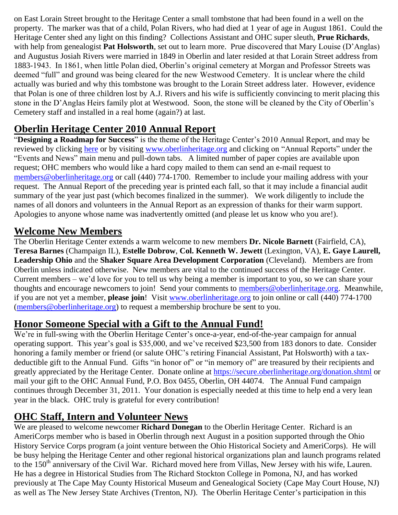on East Lorain Street brought to the Heritage Center a small tombstone that had been found in a well on the property. The marker was that of a child, Polan Rivers, who had died at 1 year of age in August 1861. Could the Heritage Center shed any light on this finding? Collections Assistant and OHC super sleuth, **Prue Richards**, with help from genealogist **Pat Holsworth**, set out to learn more. Prue discovered that Mary Louise (D'Anglas) and Augustus Josiah Rivers were married in 1849 in Oberlin and later resided at that Lorain Street address from 1883-1943. In 1861, when little Polan died, Oberlin's original cemetery at Morgan and Professor Streets was deemed "full" and ground was being cleared for the new Westwood Cemetery. It is unclear where the child actually was buried and why this tombstone was brought to the Lorain Street address later. However, evidence that Polan is one of three children lost by A.J. Rivers and his wife is sufficiently convincing to merit placing this stone in the D'Anglas Heirs family plot at Westwood. Soon, the stone will be cleaned by the City of Oberlin's Cemetery staff and installed in a real home (again?) at last.

## **Oberlin Heritage Center 2010 Annual Report**

"**Designing a Roadmap for Success**" is the theme of the Heritage Center's 2010 Annual Report, and may be reviewed by clicking [here](http://www.oberlinheritage.org/cms/files/File/Annual%20Reports/OHC%202010%20ARr.pdf) or by visiting [www.oberlinheritage.org](http://www.oberlinheritage.org/) and clicking on "Annual Reports" under the "Events and News" main menu and pull-down tabs. A limited number of paper copies are available upon request; OHC members who would like a hard copy mailed to them can send an e-mail request to [members@oberlinheritage.org](mailto:members@oberlinheritage.org) or call (440) 774-1700. Remember to include your mailing address with your request. The Annual Report of the preceding year is printed each fall, so that it may include a financial audit summary of the year just past (which becomes finalized in the summer). We work diligently to include the names of all donors and volunteers in the Annual Report as an expression of thanks for their warm support. Apologies to anyone whose name was inadvertently omitted (and please let us know who you are!).

#### **Welcome New Members**

The Oberlin Heritage Center extends a warm welcome to new members **Dr. Nicole Barnett** (Fairfield, CA), **Teresa Barnes** (Champaign IL), **Estelle Dobrow**, **Col. Kenneth W. Jewett** (Lexington, VA), **E. Gaye Laurell, Leadership Ohio** and the **Shaker Square Area Development Corporation** (Cleveland). Members are from Oberlin unless indicated otherwise. New members are vital to the continued success of the Heritage Center. Current members – we'd love for you to tell us why being a member is important to you, so we can share your thoughts and encourage newcomers to join! Send your comments to [members@oberlinheritage.org.](mailto:members@oberlinheritage.org) Meanwhile, if you are not yet a member, **please join**! Visit [www.oberlinheritage.org](http://www.oberlinheritage.org/) to join online or call (440) 774-1700 [\(members@oberlinheritage.org\)](mailto:members@oberlinheritage.org) to request a membership brochure be sent to you.

## **Honor Someone Special with a Gift to the Annual Fund!**

We're in full-swing with the Oberlin Heritage Center's once-a-year, end-of-the-year campaign for annual operating support. This year's goal is \$35,000, and we've received \$23,500 from 183 donors to date. Consider honoring a family member or friend (or salute OHC's retiring Financial Assistant, Pat Holsworth) with a taxdeductible gift to the Annual Fund. Gifts "in honor of" or "in memory of" are treasured by their recipients and greatly appreciated by the Heritage Center. Donate online at<https://secure.oberlinheritage.org/donation.shtml> or mail your gift to the OHC Annual Fund, P.O. Box 0455, Oberlin, OH 44074. The Annual Fund campaign continues through December 31, 2011. Your donation is especially needed at this time to help end a very lean year in the black. OHC truly is grateful for every contribution!

# **OHC Staff, Intern and Volunteer News**

We are pleased to welcome newcomer **Richard Donegan** to the Oberlin Heritage Center. Richard is an AmeriCorps member who is based in Oberlin through next August in a position supported through the Ohio History Service Corps program (a joint venture between the Ohio Historical Society and AmeriCorps). He will be busy helping the Heritage Center and other regional historical organizations plan and launch programs related to the 150<sup>th</sup> anniversary of the Civil War. Richard moved here from Villas, New Jersey with his wife, Lauren. He has a degree in Historical Studies from The Richard Stockton College in Pomona, NJ, and has worked previously at The Cape May County Historical Museum and Genealogical Society (Cape May Court House, NJ) as well as The New Jersey State Archives (Trenton, NJ). The Oberlin Heritage Center's participation in this